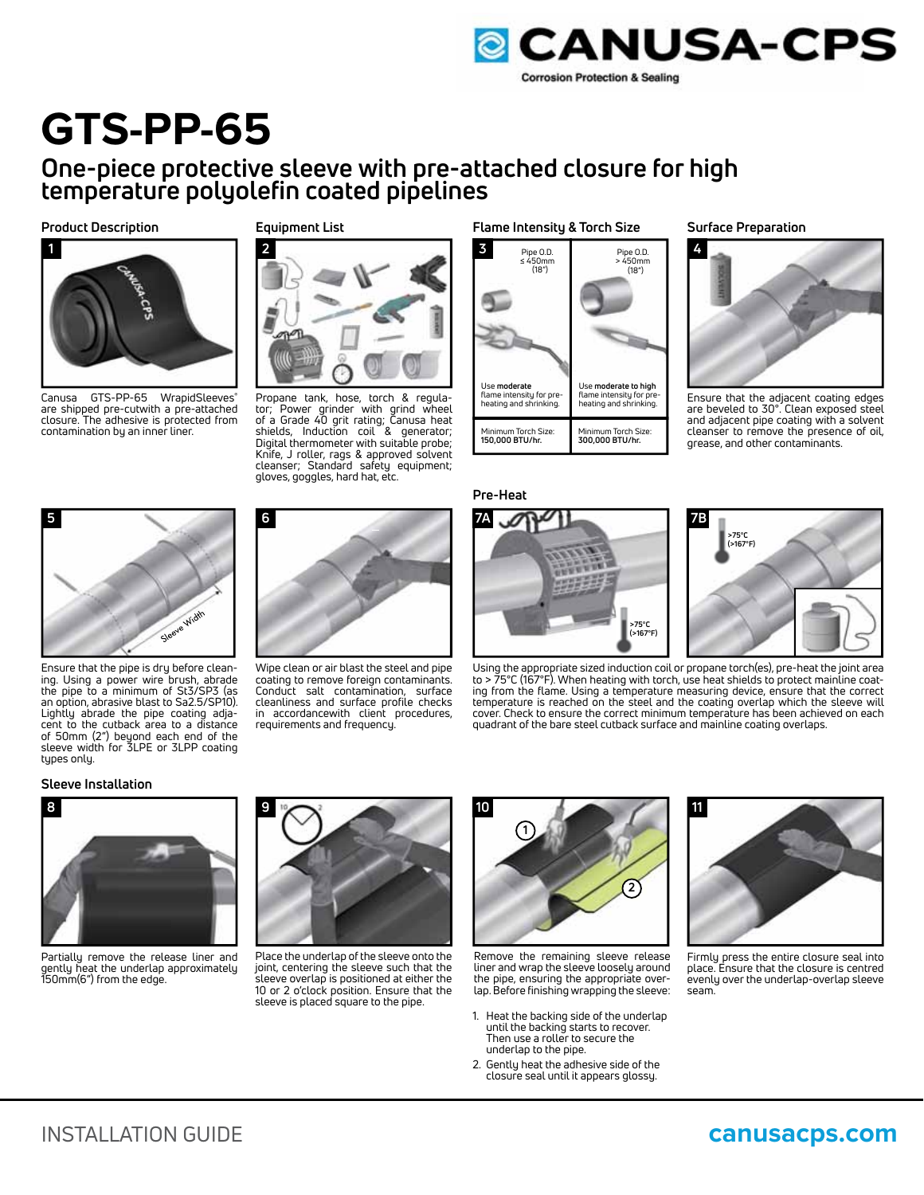

**4**

**Surface Preparation**

## **GTS-PP-65**

### **One-piece protective sleeve with pre-attached closure for high temperature polyolefin coated pipelines**

**Product Description**



Canusa GTS-PP-65 WrapidSleeves<sup>®</sup> are shipped pre-cutwith a pre-attached closure. The adhesive is protected from contamination by an inner liner.

#### **Equipment List**

**6**



Propane tank, hose, torch & regulator; Power grinder with grind wheel of a Grade 40 grit rating; Canusa heat shields, Induction coil & generator; Digital thermometer with suitable probe; Knife, J roller, rags & approved solvent cleanser; Standard safety equipment; gloves, goggles, hard hat, etc.

#### **Flame Intensity & Torch Size**



# **>75°C (>167°F)**

## **7B >75°C (>167°F)**

Ensure that the adjacent coating edges are beveled to 30°. Clean exposed steel and adjacent pipe coating with a solvent cleanser to remove the presence of oil, grease, and other contaminants.





Ensure that the pipe is dry before cleaning. Using a power wire brush, abrade the pipe to a minimum of St3/SP3 (as an option, abrasive blast to Sa2.5/SP10). Lightly abrade the pipe coating adjacent to the cutback area to a distance of 50mm (2") beyond each end of the sleeve width for 3LPE or 3LPP coating tupes only.

#### **Sleeve Installation**

**5**



Partially remove the release liner and gently heat the underlap approximately 150mm(6") from the edge.



Place the underlap of the sleeve onto the joint, centering the sleeve such that the sleeve overlap is positioned at either the 10 or 2 o'clock position. Ensure that the sleeve is placed square to the pipe.



Remove the remaining sleeve release liner and wrap the sleeve loosely around the pipe, ensuring the appropriate overlap. Before finishing wrapping the sleeve:

- 1. Heat the backing side of the underlap until the backing starts to recover. Then use a roller to secure the underlap to the pipe.
- 2. Gently heat the adhesive side of the closure seal until it appears glossy.



Firmly press the entire closure seal into place. Ensure that the closure is centred evenly over the underlap-overlap sleeve seam.



Wipe clean or air blast the steel and pipe

coating to remove foreign contaminants. Conduct salt contamination, surface cleanliness and surface profile checks in accordancewith client procedures, requirements and frequency.